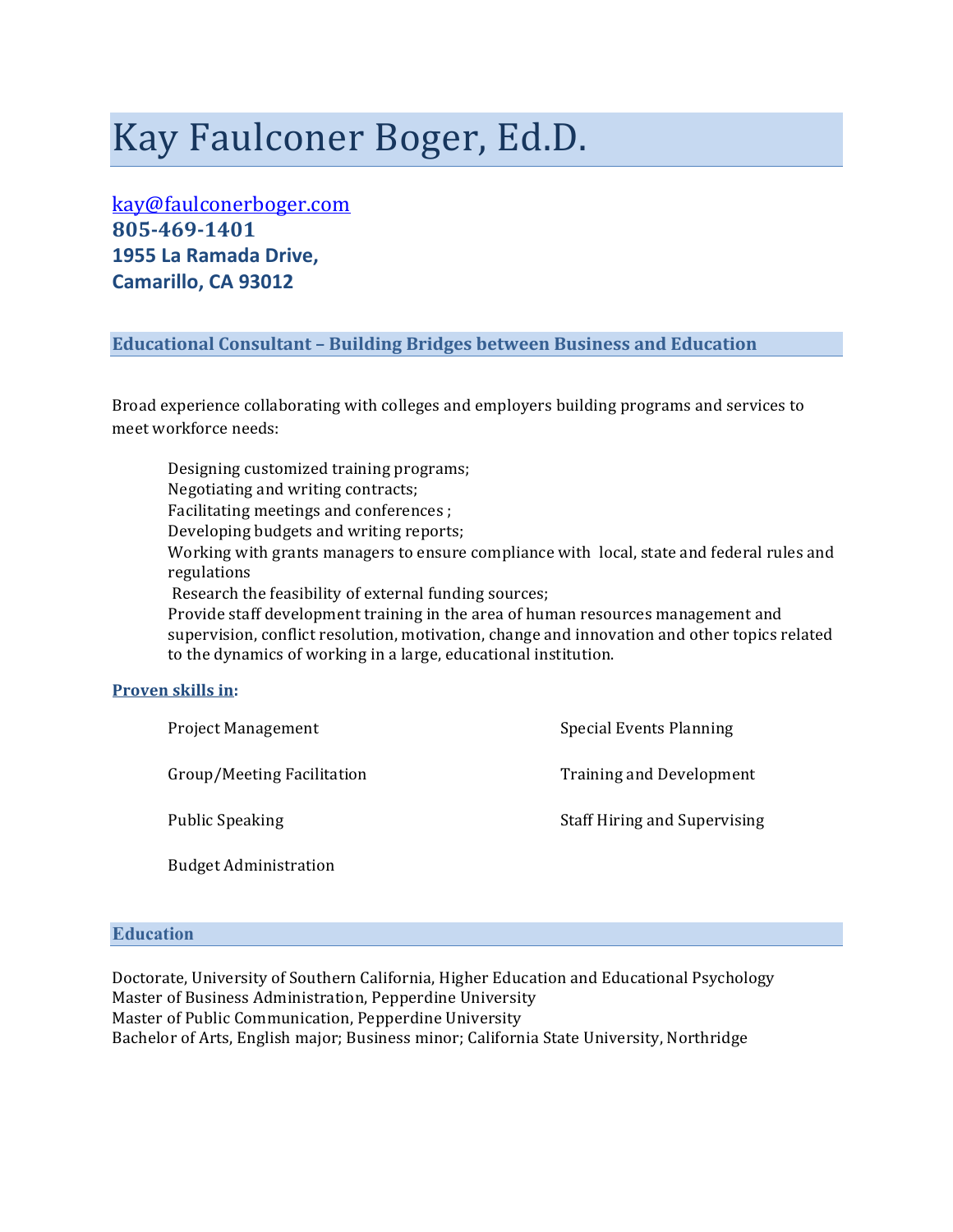# Kay Faulconer Boger, Ed.D.

kay@faulconerboger.com **805\$469\$1401 1955 La Ramada Drive, Camarillo,\$CA\$93012**

# **Educational)Consultant –)Building)Bridges)between)Business)and)Education**

Broad experience collaborating with colleges and employers building programs and services to meet workforce needs:

Designing customized training programs; Negotiating and writing contracts; Facilitating meetings and conferences ; Developing budgets and writing reports; Working with grants managers to ensure compliance with local, state and federal rules and regulations Research the feasibility of external funding sources; Provide staff development training in the area of human resources management and supervision, conflict resolution, motivation, change and innovation and other topics related to the dynamics of working in a large, educational institution.

#### **Proven skills in:**

| <b>Project Management</b>    | <b>Special Events Planning</b>      |
|------------------------------|-------------------------------------|
| Group/Meeting Facilitation   | <b>Training and Development</b>     |
| <b>Public Speaking</b>       | <b>Staff Hiring and Supervising</b> |
| <b>Budget Administration</b> |                                     |

## **Education**

Doctorate, University of Southern California, Higher Education and Educational Psychology Master of Business Administration, Pepperdine University Master of Public Communication, Pepperdine University Bachelor of Arts, English major; Business minor; California State University, Northridge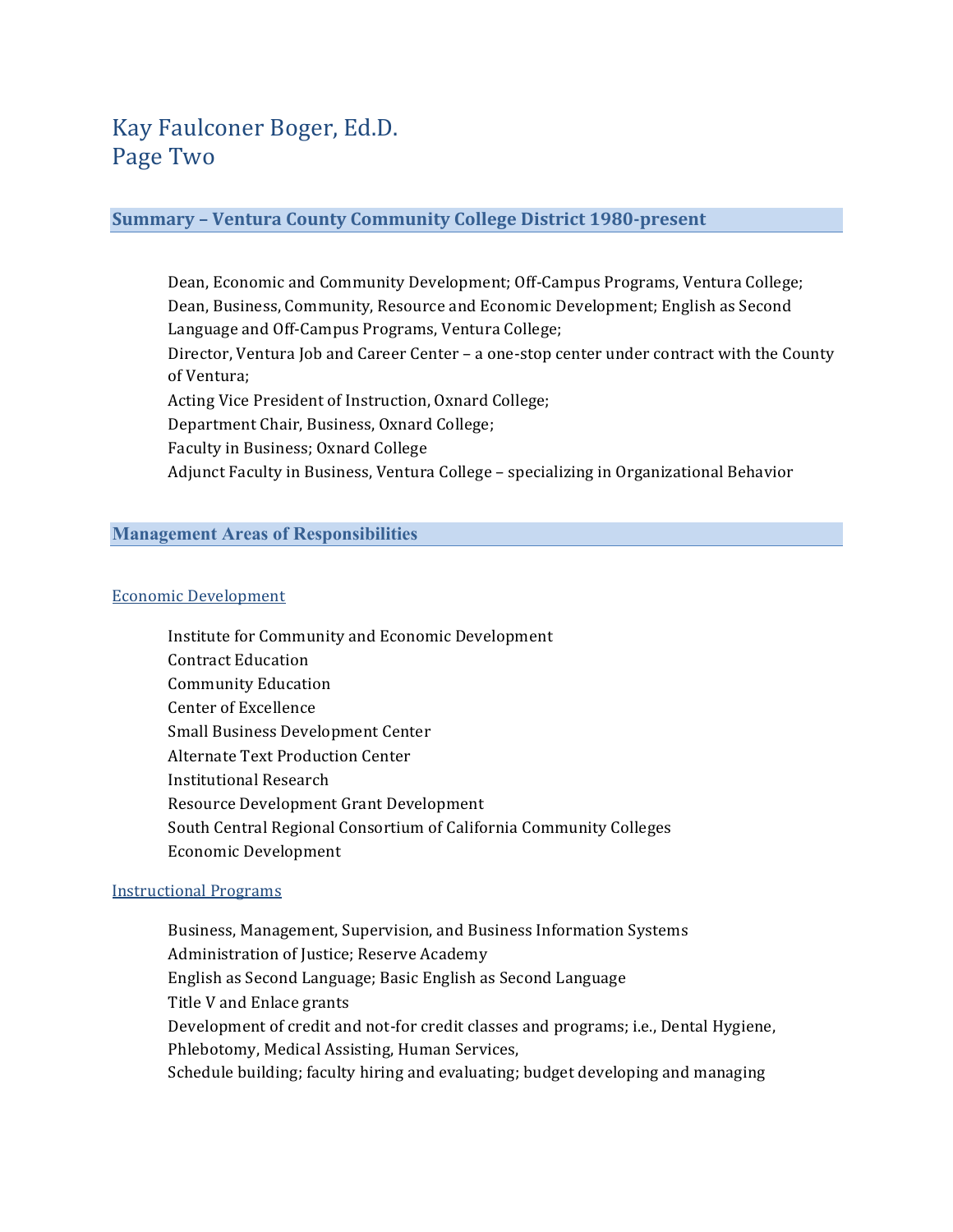# **Summary - Ventura County Community College District 1980-present**

Dean, Economic and Community Development; Off-Campus Programs, Ventura College; Dean, Business, Community, Resource and Economic Development; English as Second Language and Off-Campus Programs, Ventura College; Director, Ventura Job and Career Center – a one-stop center under contract with the County of Ventura; Acting Vice President of Instruction, Oxnard College; Department Chair, Business, Oxnard College; Faculty in Business; Oxnard College Adjunct Faculty in Business, Ventura College – specializing in Organizational Behavior

## **Management Areas of Responsibilities**

#### Economic Development

Institute for Community and Economic Development **Contract Education** Community Education Center of Excellence Small Business Development Center Alternate Text Production Center Institutional Research Resource Development Grant Development South Central Regional Consortium of California Community Colleges Economic\$Development

#### **Instructional Programs**

Business, Management, Supervision, and Business Information Systems Administration of Justice; Reserve Academy English as Second Language; Basic English as Second Language Title V and Enlace grants Development of credit and not-for credit classes and programs; i.e., Dental Hygiene, Phlebotomy, Medical Assisting, Human Services, Schedule building; faculty hiring and evaluating; budget developing and managing